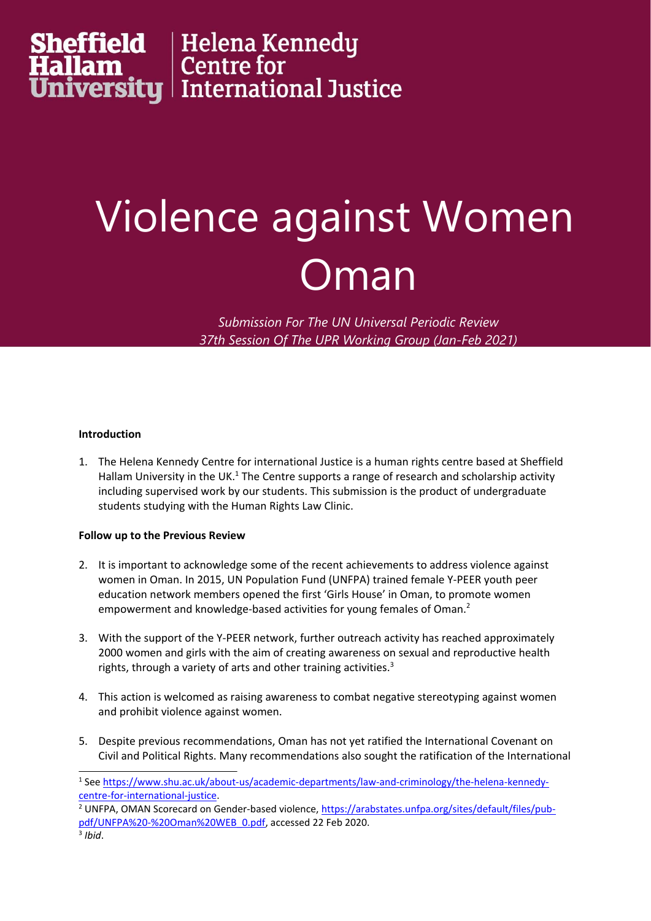# **Sheffield | H**elena Kennedy<br>**Hallam | C**entre for<br>**University | I**nternational Justice

### Violence against Women Oman

*Submission For The UN Universal Periodic Review 37th Session Of The UPR Working Group (Jan-Feb 2021)*

#### **Introduction**

1. The Helena Kennedy Centre for international Justice is <sup>a</sup> human rights centre based at Sheffield Hallam University in the UK. $^{\rm 1}$  The Centre supports a range of research and scholarship activity including supervised work by our students. This submission is the product of undergraduate students studying with the Human Rights Law Clinic.

#### **Follow up to the Previous Review**

- 2. It is important to acknowledge some of the recent achievements to address violence against women in Oman. In 2015, UN Population Fund (UNFPA) trained female Y-PEER youth peer education network members opened the first 'Girls House' in Oman, to promote women empowerment and knowledge-based activities for young females of Oman. 2
- 3. With the support of the Y-PEER network, further outreach activity has reached approximately 2000 women and girls with the aim of creating awareness on sexual and reproductive health rights, through a variety of arts and other training activities.<sup>3</sup>
- 4. This action is welcomed as raising awareness to combat negative stereotyping against women and prohibit violence against women.
- 5. Despite previous recommendations, Oman has not yet ratified the International Covenant on Civil and Political Rights. Many recommendations also sought the ratification of the International

<sup>1</sup> See [https://www.shu.ac.uk/about-us/academic-departments/law-and-criminology/the-helena-kennedy](https://www.shu.ac.uk/about-us/academic-departments/law-and-criminology/the-helena-kennedy-centre-for-international-justice)[centre-for-international-justice](https://www.shu.ac.uk/about-us/academic-departments/law-and-criminology/the-helena-kennedy-centre-for-international-justice).

<sup>&</sup>lt;sup>2</sup> UNFPA, OMAN Scorecard on Gender-based violence, [https://arabstates.unfpa.org/sites/default/files/pub](https://arabstates.unfpa.org/sites/default/files/pub-pdf/UNFPA%20-%20Oman%20WEB_0.pdf)[pdf/UNFPA%20-%20Oman%20WEB\\_0.pdf,](https://arabstates.unfpa.org/sites/default/files/pub-pdf/UNFPA%20-%20Oman%20WEB_0.pdf) accessed 22 Feb 2020.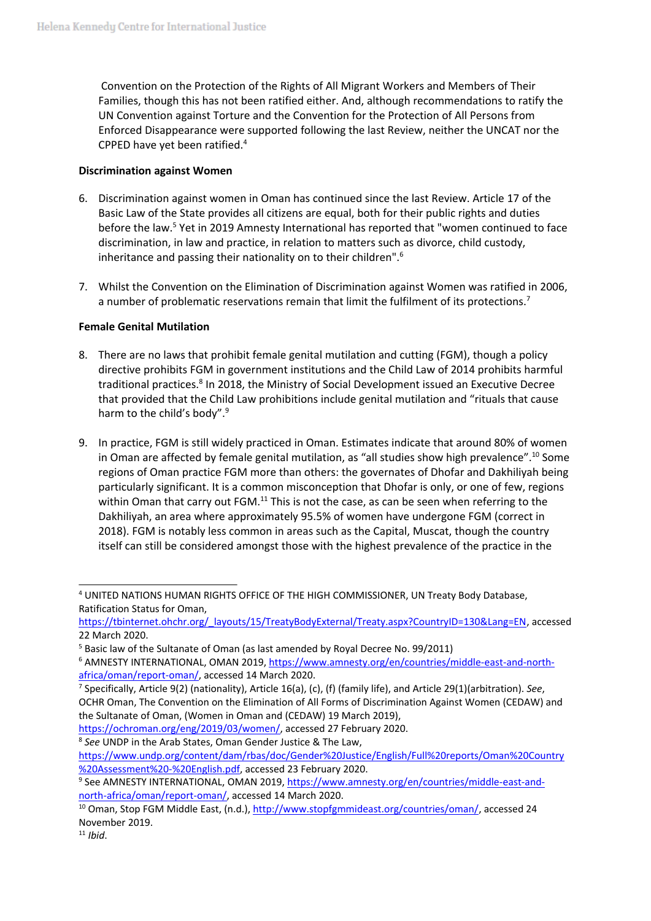Convention on the Protection of the Rights of All Migrant Workers and Members of Their Families, though this has not been ratified either. And, although recommendations to ratify the UN Convention against Torture and the Convention for the Protection of All Persons from Enforced Disappearance were supported following the last Review, neither the UNCAT nor the CPPED have yet been ratified. 4

#### **Discrimination against Women**

- 6. Discrimination against women in Oman has continued since the last Review. Article 17 of the Basic Law of the State provides all citizens are equal, both for their public rights and duties before the law.<sup>5</sup> Yet in 2019 Amnesty International has reported that "women continued to face discrimination, in law and practice, in relation to matters such as divorce, child custody, inheritance and passing their nationality on to their children".<sup>6</sup>
- 7. Whilst the Convention on the Elimination of Discrimination against Women was ratified in 2006, a number of problematic reservations remain that limit the fulfilment of its protections.<sup>7</sup>

#### **Female Genital Mutilation**

- 8. There are no laws that prohibit female genital mutilation and cutting (FGM), though <sup>a</sup> policy directive prohibits FGM in government institutions and the Child Law of 2014 prohibits harmful traditional practices. 8 In 2018, the Ministry of Social Development issued an Executive Decree that provided that the Child Law prohibitions include genital mutilation and "rituals that cause harm to the child's body".<sup>9</sup>
- 9. In practice, FGM is still widely practiced in Oman. Estimates indicate that around 80% of women in Oman are affected by female genital mutilation, as "all studies show high prevalence". 10 Some regions of Oman practice FGM more than others: the governates of Dhofar and Dakhiliyah being particularly significant. It is <sup>a</sup> common misconception that Dhofar is only, or one of few, regions within Oman that carry out FGM.<sup>11</sup> This is not the case, as can be seen when referring to the Dakhiliyah, an area where approximately 95.5% of women have undergone FGM (correct in 2018). FGM is notably less common in areas such as the Capital, Muscat, though the country itself can still be considered amongst those with the highest prevalence of the practice in the

<sup>8</sup> See UNDP in the Arab States, Oman Gender Justice & The Law,

[https://www.undp.org/content/dam/rbas/doc/Gender%20Justice/English/Full%20reports/Oman%20Country](https://www.undp.org/content/dam/rbas/doc/Gender%20Justice/English/Full%20reports/Oman%20Country%20Assessment%20-%20English.pdf) [%20Assessment%20-%20English.pdf,](https://www.undp.org/content/dam/rbas/doc/Gender%20Justice/English/Full%20reports/Oman%20Country%20Assessment%20-%20English.pdf) accessed 23 February 2020.

11 *Ibid*.

<sup>4</sup> UNITED NATIONS HUMAN RIGHTS OFFICE OF THE HIGH COMMISSIONER, UN Treaty Body Database, Ratification Status for Oman,

[https://tbinternet.ohchr.org/\\_layouts/15/TreatyBodyExternal/Treaty.aspx?CountryID=130&Lang=EN,](https://tbinternet.ohchr.org/_layouts/15/TreatyBodyExternal/Treaty.aspx?CountryID=130&Lang=EN) accessed 22 March 2020.

<sup>&</sup>lt;sup>5</sup> Basic law of the Sultanate of Oman (as last amended by Royal Decree No. 99/2011)

<sup>&</sup>lt;sup>6</sup> AMNESTY INTERNATIONAL, OMAN 2019, [https://www.amnesty.org/en/countries/middle-east-and-north](https://www.amnesty.org/en/countries/middle-east-and-north-africa/oman/report-oman/)[africa/oman/report-oman/,](https://www.amnesty.org/en/countries/middle-east-and-north-africa/oman/report-oman/) accessed 14 March 2020.

<sup>7</sup> Specifically, Article 9(2) (nationality), Article 16(a), (c), (f) (family life), and Article 29(1)(arbitration). *See*, OCHR Oman, The Convention on the Elimination of All Forms of Discrimination Against Women (CEDAW) and the Sultanate of Oman, (Women in Oman and (CEDAW) 19 March 2019),

<https://ochroman.org/eng/2019/03/women/>, accessed 27 February 2020.

<sup>9</sup> See AMNESTY INTERNATIONAL, OMAN 2019, [https://www.amnesty.org/en/countries/middle-east-and](https://www.amnesty.org/en/countries/middle-east-and-north-africa/oman/report-oman/)[north-africa/oman/report-oman/](https://www.amnesty.org/en/countries/middle-east-and-north-africa/oman/report-oman/), accessed 14 March 2020.

<sup>&</sup>lt;sup>10</sup> Oman, Stop FGM Middle East, (n.d.), <http://www.stopfgmmideast.org/countries/oman/>, accessed 24 November 2019.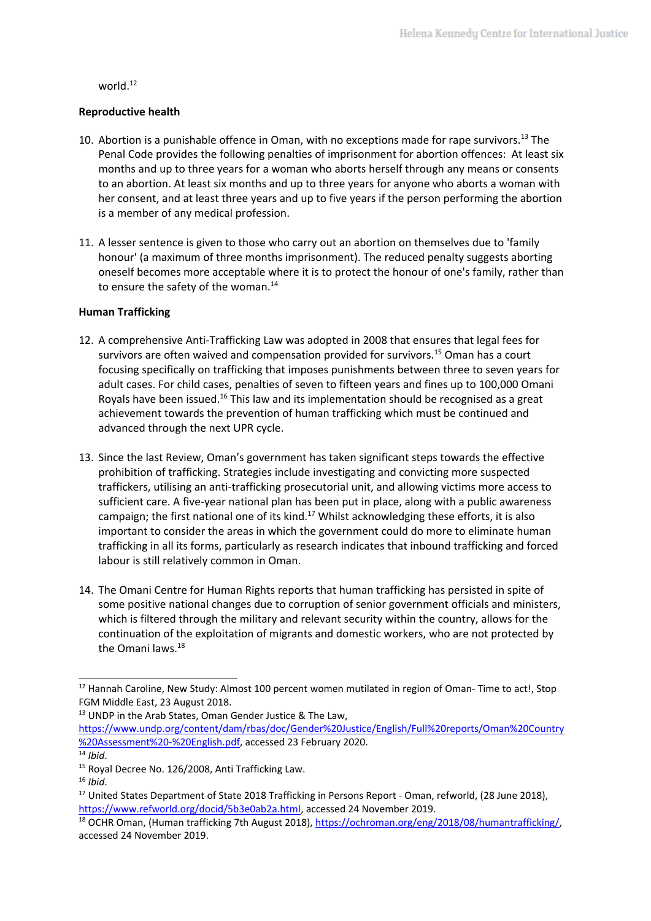world. $^{\rm 12}$ 

#### **Reproductive health**

- 10. Abortion is a punishable offence in Oman, with no exceptions made for rape survivors.<sup>13</sup> The Penal Code provides the following penalties of imprisonment for abortion offences: At least six months and up to three years for <sup>a</sup> woman who aborts herself through any means or consents to an abortion. At least six months and up to three years for anyone who aborts <sup>a</sup> woman with her consent, and at least three years and up to five years if the person performing the abortion is <sup>a</sup> member of any medical profession.
- 11. A lesser sentence is given to those who carry out an abortion on themselves due to 'family honour' (a maximum of three months imprisonment). The reduced penalty suggests aborting oneself becomes more acceptable where it is to protect the honour of one's family, rather than to ensure the safety of the woman. 14

#### **Human Trafficking**

- 12. A comprehensive Anti-Trafficking Law was adopted in 2008 that ensures that legal fees for survivors are often waived and compensation provided for survivors.<sup>15</sup> Oman has a court focusing specifically on trafficking that imposes punishments between three to seven years for adult cases. For child cases, penalties of seven to fifteen years and fines up to 100,000 Omani Royals have been issued.<sup>16</sup> This law and its implementation should be recognised as a great achievement towards the prevention of human trafficking which must be continued and advanced through the next UPR cycle.
- 13. Since the last Review, Oman'<sup>s</sup> government has taken significant steps towards the effective prohibition of trafficking. Strategies include investigating and convicting more suspected traffickers, utilising an anti-trafficking prosecutorial unit, and allowing victims more access to sufficient care. A five-year national plan has been put in place, along with <sup>a</sup> public awareness campaign; the first national one of its kind.<sup>17</sup> Whilst acknowledging these efforts, it is also important to consider the areas in which the government could do more to eliminate human trafficking in all its forms, particularly as research indicates that inbound trafficking and forced labour is still relatively common in Oman.
- 14. The Omani Centre for Human Rights reports that human trafficking has persisted in spite of some positive national changes due to corruption of senior government officials and ministers, which is filtered through the military and relevant security within the country, allows for the continuation of the exploitation of migrants and domestic workers, who are not protected by the Omani laws.<sup>18</sup>

 $^{12}$  Hannah Caroline, New Study: Almost 100 percent women mutilated in region of Oman-Time to act!, Stop FGM Middle East, 23 August 2018.

<sup>&</sup>lt;sup>13</sup> UNDP in the Arab States, Oman Gender Justice & The Law,

[https://www.undp.org/content/dam/rbas/doc/Gender%20Justice/English/Full%20reports/Oman%20Country](https://www.undp.org/content/dam/rbas/doc/Gender%20Justice/English/Full%20reports/Oman%20Country%20Assessment%20-%20English.pdf) [%20Assessment%20-%20English.pdf,](https://www.undp.org/content/dam/rbas/doc/Gender%20Justice/English/Full%20reports/Oman%20Country%20Assessment%20-%20English.pdf) accessed 23 February 2020.

<sup>14</sup> *Ibid*.

<sup>&</sup>lt;sup>15</sup> Royal Decree No. 126/2008, Anti Trafficking Law.

<sup>16</sup> *Ibid*.

<sup>&</sup>lt;sup>17</sup> United States Department of State 2018 Trafficking in Persons Report - Oman, refworld, (28 June 2018), <https://www.refworld.org/docid/5b3e0ab2a.html>, accessed 24 November 2019.

<sup>&</sup>lt;sup>18</sup> OCHR Oman, (Human trafficking 7th August 2018), <https://ochroman.org/eng/2018/08/humantrafficking/>, accessed 24 November 2019.